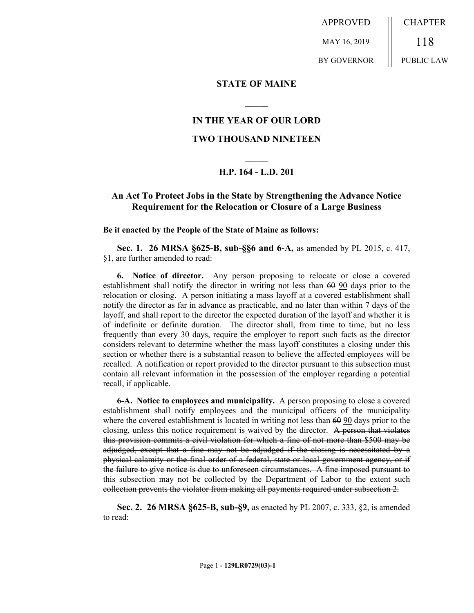APPROVED MAY 16, 2019 BY GOVERNOR CHAPTER 118 PUBLIC LAW

### **STATE OF MAINE**

# **IN THE YEAR OF OUR LORD**

**\_\_\_\_\_**

### **TWO THOUSAND NINETEEN**

# **\_\_\_\_\_ H.P. 164 - L.D. 201**

# **An Act To Protect Jobs in the State by Strengthening the Advance Notice Requirement for the Relocation or Closure of a Large Business**

#### **Be it enacted by the People of the State of Maine as follows:**

**Sec. 1. 26 MRSA §625-B, sub-§§6 and 6-A,** as amended by PL 2015, c. 417, §1, are further amended to read:

**6. Notice of director.** Any person proposing to relocate or close a covered establishment shall notify the director in writing not less than 60 90 days prior to the relocation or closing. A person initiating a mass layoff at a covered establishment shall notify the director as far in advance as practicable, and no later than within 7 days of the layoff, and shall report to the director the expected duration of the layoff and whether it is of indefinite or definite duration. The director shall, from time to time, but no less frequently than every 30 days, require the employer to report such facts as the director considers relevant to determine whether the mass layoff constitutes a closing under this section or whether there is a substantial reason to believe the affected employees will be recalled. A notification or report provided to the director pursuant to this subsection must contain all relevant information in the possession of the employer regarding a potential recall, if applicable.

**6-A. Notice to employees and municipality.** A person proposing to close a covered establishment shall notify employees and the municipal officers of the municipality where the covered establishment is located in writing not less than  $60\,90$  days prior to the closing, unless this notice requirement is waived by the director. A person that violates this provision commits a civil violation for which a fine of not more than \$500 may be adjudged, except that a fine may not be adjudged if the closing is necessitated by a physical calamity or the final order of a federal, state or local government agency, or if the failure to give notice is due to unforeseen circumstances. A fine imposed pursuant to this subsection may not be collected by the Department of Labor to the extent such collection prevents the violator from making all payments required under subsection 2.

**Sec. 2. 26 MRSA §625-B, sub-§9,** as enacted by PL 2007, c. 333, §2, is amended to read: